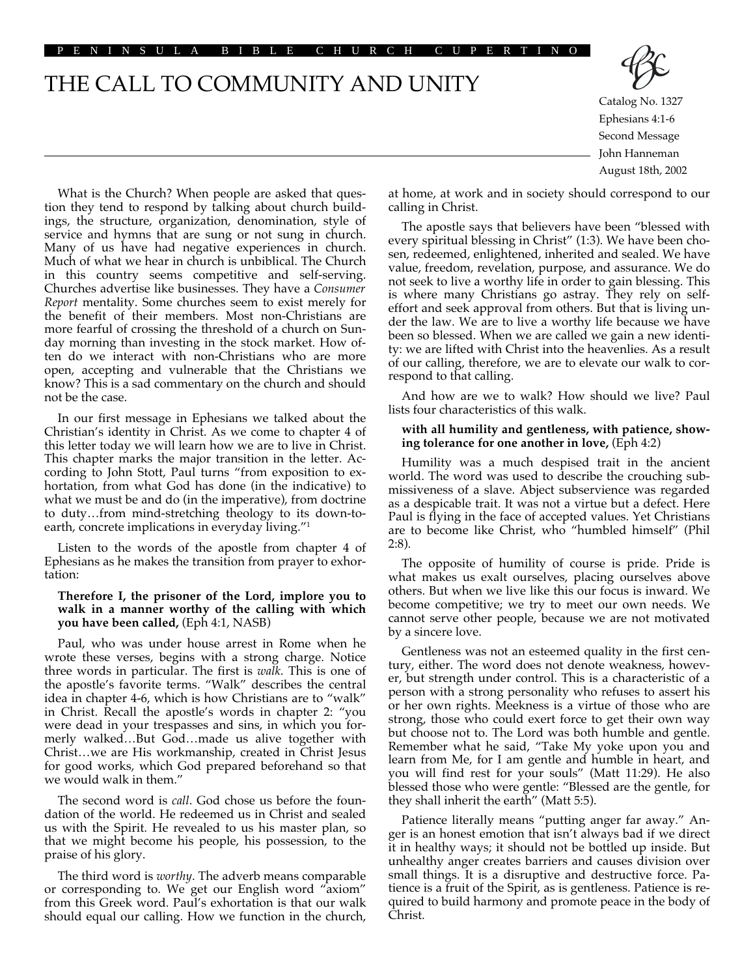#### ENINSULA BIBLE CHURCH CUPER

# THE CALL TO COMMUNITY AND UNITY



Catalog No. 1327 Ephesians 4:1-6 Second Message John Hanneman August 18th, 2002

What is the Church? When people are asked that question they tend to respond by talking about church buildings, the structure, organization, denomination, style of service and hymns that are sung or not sung in church. Many of us have had negative experiences in church. Much of what we hear in church is unbiblical. The Church in this country seems competitive and self-serving. Churches advertise like businesses. They have a *Consumer Report* mentality. Some churches seem to exist merely for the benefit of their members. Most non-Christians are more fearful of crossing the threshold of a church on Sunday morning than investing in the stock market. How often do we interact with non-Christians who are more open, accepting and vulnerable that the Christians we know? This is a sad commentary on the church and should not be the case.

In our first message in Ephesians we talked about the Christian's identity in Christ. As we come to chapter 4 of this letter today we will learn how we are to live in Christ. This chapter marks the major transition in the letter. According to John Stott, Paul turns "from exposition to exhortation, from what God has done (in the indicative) to what we must be and do (in the imperative), from doctrine to duty…from mind-stretching theology to its down-toearth, concrete implications in everyday living."1

Listen to the words of the apostle from chapter 4 of Ephesians as he makes the transition from prayer to exhortation:

# **Therefore I, the prisoner of the Lord, implore you to walk in a manner worthy of the calling with which you have been called,** (Eph 4:1, NASB)

Paul, who was under house arrest in Rome when he wrote these verses, begins with a strong charge. Notice three words in particular. The first is *walk*. This is one of the apostle's favorite terms. "Walk" describes the central idea in chapter 4-6, which is how Christians are to "walk" in Christ. Recall the apostle's words in chapter 2: "you were dead in your trespasses and sins, in which you formerly walked…But God…made us alive together with Christ…we are His workmanship, created in Christ Jesus for good works, which God prepared beforehand so that we would walk in them."

The second word is *call*. God chose us before the foundation of the world. He redeemed us in Christ and sealed us with the Spirit. He revealed to us his master plan, so that we might become his people, his possession, to the praise of his glory.

The third word is *worthy*. The adverb means comparable or corresponding to. We get our English word "axiom" from this Greek word. Paul's exhortation is that our walk should equal our calling. How we function in the church, at home, at work and in society should correspond to our calling in Christ.

The apostle says that believers have been "blessed with every spiritual blessing in Christ" (1:3). We have been chosen, redeemed, enlightened, inherited and sealed. We have value, freedom, revelation, purpose, and assurance. We do not seek to live a worthy life in order to gain blessing. This is where many Christians go astray. They rely on selfeffort and seek approval from others. But that is living under the law. We are to live a worthy life because we have been so blessed. When we are called we gain a new identity: we are lifted with Christ into the heavenlies. As a result of our calling, therefore, we are to elevate our walk to correspond to that calling.

And how are we to walk? How should we live? Paul lists four characteristics of this walk.

## **with all humility and gentleness, with patience, showing tolerance for one another in love,** (Eph 4:2)

Humility was a much despised trait in the ancient world. The word was used to describe the crouching submissiveness of a slave. Abject subservience was regarded as a despicable trait. It was not a virtue but a defect. Here Paul is flying in the face of accepted values. Yet Christians are to become like Christ, who "humbled himself" (Phil 2:8).

The opposite of humility of course is pride. Pride is what makes us exalt ourselves, placing ourselves above others. But when we live like this our focus is inward. We become competitive; we try to meet our own needs. We cannot serve other people, because we are not motivated by a sincere love.

Gentleness was not an esteemed quality in the first century, either. The word does not denote weakness, however, but strength under control. This is a characteristic of a person with a strong personality who refuses to assert his or her own rights. Meekness is a virtue of those who are strong, those who could exert force to get their own way but choose not to. The Lord was both humble and gentle. Remember what he said, "Take My yoke upon you and learn from Me, for I am gentle and humble in heart, and you will find rest for your souls" (Matt 11:29). He also blessed those who were gentle: "Blessed are the gentle, for they shall inherit the earth" (Matt 5:5).

Patience literally means "putting anger far away." Anger is an honest emotion that isn't always bad if we direct it in healthy ways; it should not be bottled up inside. But unhealthy anger creates barriers and causes division over small things. It is a disruptive and destructive force. Patience is a fruit of the Spirit, as is gentleness. Patience is required to build harmony and promote peace in the body of Christ.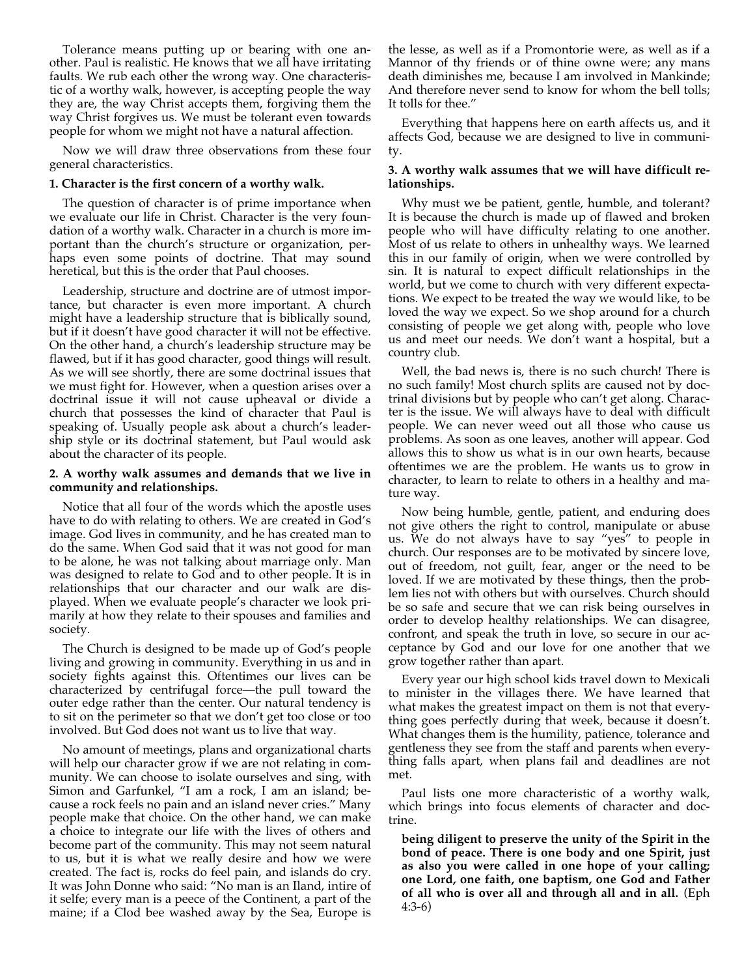Tolerance means putting up or bearing with one another. Paul is realistic. He knows that we all have irritating faults. We rub each other the wrong way. One characteristic of a worthy walk, however, is accepting people the way they are, the way Christ accepts them, forgiving them the way Christ forgives us. We must be tolerant even towards people for whom we might not have a natural affection.

Now we will draw three observations from these four general characteristics.

### **1. Character is the first concern of a worthy walk.**

The question of character is of prime importance when we evaluate our life in Christ. Character is the very foundation of a worthy walk. Character in a church is more important than the church's structure or organization, perhaps even some points of doctrine. That may sound heretical, but this is the order that Paul chooses.

Leadership, structure and doctrine are of utmost importance, but character is even more important. A church might have a leadership structure that is biblically sound, but if it doesn't have good character it will not be effective. On the other hand, a church's leadership structure may be flawed, but if it has good character, good things will result. As we will see shortly, there are some doctrinal issues that we must fight for. However, when a question arises over a doctrinal issue it will not cause upheaval or divide a church that possesses the kind of character that Paul is speaking of. Usually people ask about a church's leadership style or its doctrinal statement, but Paul would ask about the character of its people.

## **2. A worthy walk assumes and demands that we live in community and relationships.**

Notice that all four of the words which the apostle uses have to do with relating to others. We are created in God's image. God lives in community, and he has created man to do the same. When God said that it was not good for man to be alone, he was not talking about marriage only. Man was designed to relate to God and to other people. It is in relationships that our character and our walk are displayed. When we evaluate people's character we look primarily at how they relate to their spouses and families and society.

The Church is designed to be made up of God's people living and growing in community. Everything in us and in society fights against this. Oftentimes our lives can be characterized by centrifugal force—the pull toward the outer edge rather than the center. Our natural tendency is to sit on the perimeter so that we don't get too close or too involved. But God does not want us to live that way.

No amount of meetings, plans and organizational charts will help our character grow if we are not relating in community. We can choose to isolate ourselves and sing, with Simon and Garfunkel, "I am a rock, I am an island; because a rock feels no pain and an island never cries." Many people make that choice. On the other hand, we can make a choice to integrate our life with the lives of others and become part of the community. This may not seem natural to us, but it is what we really desire and how we were created. The fact is, rocks do feel pain, and islands do cry. It was John Donne who said: "No man is an Iland, intire of it selfe; every man is a peece of the Continent, a part of the maine; if a Clod bee washed away by the Sea, Europe is the lesse, as well as if a Promontorie were, as well as if a Mannor of thy friends or of thine owne were; any mans death diminishes me, because I am involved in Mankinde; And therefore never send to know for whom the bell tolls; It tolls for thee."

Everything that happens here on earth affects us, and it affects God, because we are designed to live in community.

# **3. A worthy walk assumes that we will have difficult relationships.**

Why must we be patient, gentle, humble, and tolerant? It is because the church is made up of flawed and broken people who will have difficulty relating to one another. Most of us relate to others in unhealthy ways. We learned this in our family of origin, when we were controlled by sin. It is natural to expect difficult relationships in the world, but we come to church with very different expectations. We expect to be treated the way we would like, to be loved the way we expect. So we shop around for a church consisting of people we get along with, people who love us and meet our needs. We don't want a hospital, but a country club.

Well, the bad news is, there is no such church! There is no such family! Most church splits are caused not by doctrinal divisions but by people who can't get along. Character is the issue. We will always have to deal with difficult people. We can never weed out all those who cause us problems. As soon as one leaves, another will appear. God allows this to show us what is in our own hearts, because oftentimes we are the problem. He wants us to grow in character, to learn to relate to others in a healthy and mature way.

Now being humble, gentle, patient, and enduring does not give others the right to control, manipulate or abuse us. We do not always have to say "yes" to people in church. Our responses are to be motivated by sincere love, out of freedom, not guilt, fear, anger or the need to be loved. If we are motivated by these things, then the problem lies not with others but with ourselves. Church should be so safe and secure that we can risk being ourselves in order to develop healthy relationships. We can disagree, confront, and speak the truth in love, so secure in our acceptance by God and our love for one another that we grow together rather than apart.

Every year our high school kids travel down to Mexicali to minister in the villages there. We have learned that what makes the greatest impact on them is not that everything goes perfectly during that week, because it doesn't. What changes them is the humility, patience, tolerance and gentleness they see from the staff and parents when everything falls apart, when plans fail and deadlines are not met.

Paul lists one more characteristic of a worthy walk, which brings into focus elements of character and doctrine.

**being diligent to preserve the unity of the Spirit in the bond of peace. There is one body and one Spirit, just as also you were called in one hope of your calling; one Lord, one faith, one baptism, one God and Father of all who is over all and through all and in all.** (Eph 4:3-6)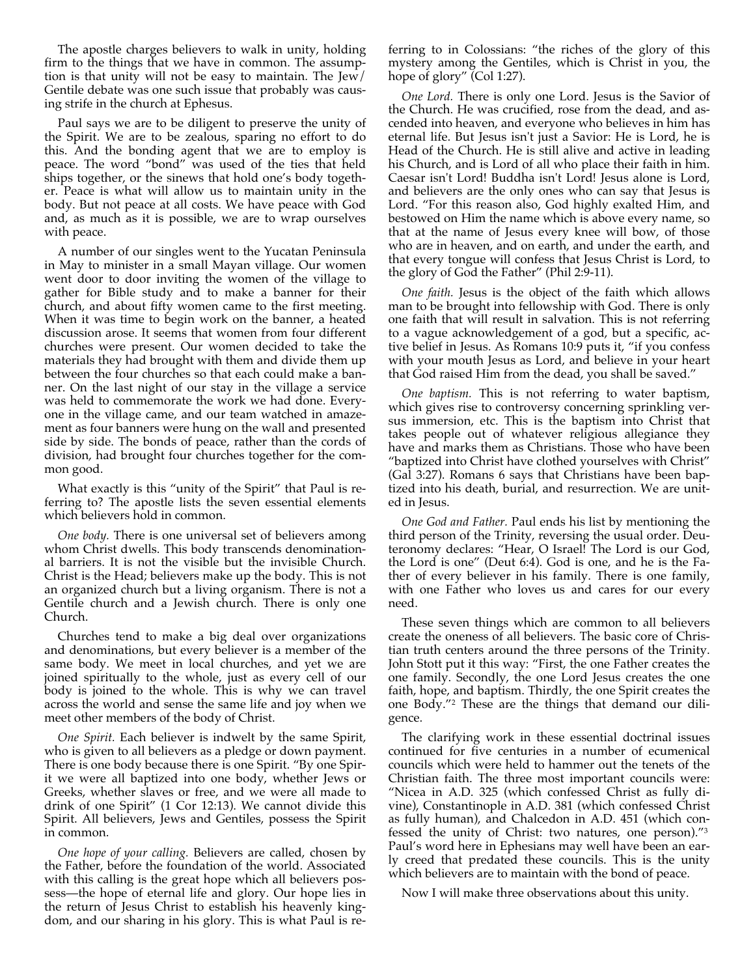The apostle charges believers to walk in unity, holding firm to the things that we have in common. The assumption is that unity will not be easy to maintain. The Jew/ Gentile debate was one such issue that probably was causing strife in the church at Ephesus.

Paul says we are to be diligent to preserve the unity of the Spirit. We are to be zealous, sparing no effort to do this. And the bonding agent that we are to employ is peace. The word "bond" was used of the ties that held ships together, or the sinews that hold one's body together. Peace is what will allow us to maintain unity in the body. But not peace at all costs. We have peace with God and, as much as it is possible, we are to wrap ourselves with peace.

A number of our singles went to the Yucatan Peninsula in May to minister in a small Mayan village. Our women went door to door inviting the women of the village to gather for Bible study and to make a banner for their church, and about fifty women came to the first meeting. When it was time to begin work on the banner, a heated discussion arose. It seems that women from four different churches were present. Our women decided to take the materials they had brought with them and divide them up between the four churches so that each could make a banner. On the last night of our stay in the village a service was held to commemorate the work we had done. Everyone in the village came, and our team watched in amazement as four banners were hung on the wall and presented side by side. The bonds of peace, rather than the cords of division, had brought four churches together for the common good.

What exactly is this "unity of the Spirit" that Paul is referring to? The apostle lists the seven essential elements which believers hold in common.

*One body.* There is one universal set of believers among whom Christ dwells. This body transcends denominational barriers. It is not the visible but the invisible Church. Christ is the Head; believers make up the body. This is not an organized church but a living organism. There is not a Gentile church and a Jewish church. There is only one Church.

Churches tend to make a big deal over organizations and denominations, but every believer is a member of the same body. We meet in local churches, and yet we are joined spiritually to the whole, just as every cell of our body is joined to the whole. This is why we can travel across the world and sense the same life and joy when we meet other members of the body of Christ.

*One Spirit.* Each believer is indwelt by the same Spirit, who is given to all believers as a pledge or down payment. There is one body because there is one Spirit. "By one Spirit we were all baptized into one body, whether Jews or Greeks, whether slaves or free, and we were all made to drink of one Spirit" (1 Cor 12:13). We cannot divide this Spirit. All believers, Jews and Gentiles, possess the Spirit in common.

*One hope of your calling.* Believers are called, chosen by the Father, before the foundation of the world. Associated with this calling is the great hope which all believers possess—the hope of eternal life and glory. Our hope lies in the return of Jesus Christ to establish his heavenly kingdom, and our sharing in his glory. This is what Paul is referring to in Colossians: "the riches of the glory of this mystery among the Gentiles, which is Christ in you, the hope of glory" (Col 1:27).

*One Lord.* There is only one Lord. Jesus is the Savior of the Church. He was crucified, rose from the dead, and ascended into heaven, and everyone who believes in him has eternal life. But Jesus isn't just a Savior: He is Lord, he is Head of the Church. He is still alive and active in leading his Church, and is Lord of all who place their faith in him. Caesar isn't Lord! Buddha isn't Lord! Jesus alone is Lord, and believers are the only ones who can say that Jesus is Lord. "For this reason also, God highly exalted Him, and bestowed on Him the name which is above every name, so that at the name of Jesus every knee will bow, of those who are in heaven, and on earth, and under the earth, and that every tongue will confess that Jesus Christ is Lord, to the glory of God the Father" (Phil 2:9-11).

*One faith.* Jesus is the object of the faith which allows man to be brought into fellowship with God. There is only one faith that will result in salvation. This is not referring to a vague acknowledgement of a god, but a specific, active belief in Jesus. As Romans 10:9 puts it, "if you confess with your mouth Jesus as Lord, and believe in your heart that God raised Him from the dead, you shall be saved."

*One baptism.* This is not referring to water baptism, which gives rise to controversy concerning sprinkling versus immersion, etc. This is the baptism into Christ that takes people out of whatever religious allegiance they have and marks them as Christians. Those who have been "baptized into Christ have clothed yourselves with Christ" (Gal 3:27). Romans 6 says that Christians have been baptized into his death, burial, and resurrection. We are united in Jesus.

*One God and Father.* Paul ends his list by mentioning the third person of the Trinity, reversing the usual order. Deuteronomy declares: "Hear, O Israel! The Lord is our God, the Lord is one" (Deut 6:4). God is one, and he is the Father of every believer in his family. There is one family, with one Father who loves us and cares for our every need.

These seven things which are common to all believers create the oneness of all believers. The basic core of Christian truth centers around the three persons of the Trinity. John Stott put it this way: "First, the one Father creates the one family. Secondly, the one Lord Jesus creates the one faith, hope, and baptism. Thirdly, the one Spirit creates the one Body."2 These are the things that demand our diligence.

The clarifying work in these essential doctrinal issues continued for five centuries in a number of ecumenical councils which were held to hammer out the tenets of the Christian faith. The three most important councils were: "Nicea in A.D. 325 (which confessed Christ as fully divine), Constantinople in A.D. 381 (which confessed Christ as fully human), and Chalcedon in A.D. 451 (which confessed the unity of Christ: two natures, one person)."3 Paul's word here in Ephesians may well have been an early creed that predated these councils. This is the unity which believers are to maintain with the bond of peace.

Now I will make three observations about this unity.